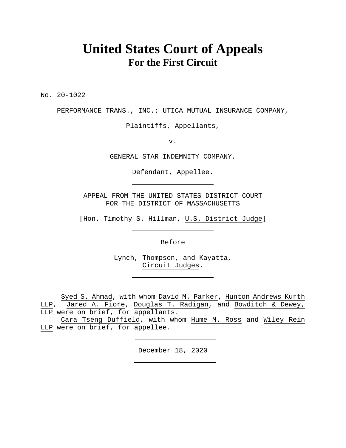# **United States Court of Appeals For the First Circuit**

No. 20-1022

PERFORMANCE TRANS., INC.; UTICA MUTUAL INSURANCE COMPANY,

Plaintiffs, Appellants,

v.

GENERAL STAR INDEMNITY COMPANY,

Defendant, Appellee.

APPEAL FROM THE UNITED STATES DISTRICT COURT FOR THE DISTRICT OF MASSACHUSETTS

[Hon. Timothy S. Hillman, U.S. District Judge]

Before

Lynch, Thompson, and Kayatta, Circuit Judges.

Syed S. Ahmad, with whom David M. Parker, Hunton Andrews Kurth LLP, Jared A. Fiore, Douglas T. Radigan, and Bowditch & Dewey, LLP were on brief, for appellants.

Cara Tseng Duffield, with whom Hume M. Ross and Wiley Rein LLP were on brief, for appellee.

December 18, 2020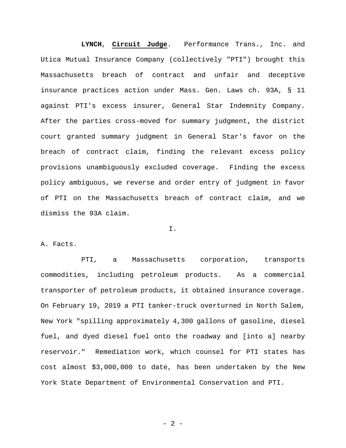**LYNCH**, **Circuit Judge**. Performance Trans., Inc. and Utica Mutual Insurance Company (collectively "PTI") brought this Massachusetts breach of contract and unfair and deceptive insurance practices action under Mass. Gen. Laws ch. 93A, § 11 against PTI's excess insurer, General Star Indemnity Company. After the parties cross-moved for summary judgment, the district court granted summary judgment in General Star's favor on the breach of contract claim, finding the relevant excess policy provisions unambiguously excluded coverage. Finding the excess policy ambiguous, we reverse and order entry of judgment in favor of PTI on the Massachusetts breach of contract claim, and we dismiss the 93A claim.

I.

A. Facts.

 PTI, a Massachusetts corporation, transports commodities, including petroleum products. As a commercial transporter of petroleum products, it obtained insurance coverage. On February 19, 2019 a PTI tanker-truck overturned in North Salem, New York "spilling approximately 4,300 gallons of gasoline, diesel fuel, and dyed diesel fuel onto the roadway and [into a] nearby reservoir." Remediation work, which counsel for PTI states has cost almost \$3,000,000 to date, has been undertaken by the New York State Department of Environmental Conservation and PTI.

 $- 2 -$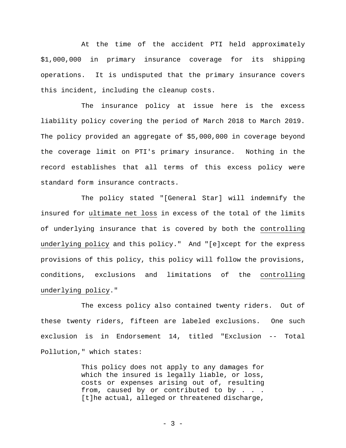At the time of the accident PTI held approximately \$1,000,000 in primary insurance coverage for its shipping operations. It is undisputed that the primary insurance covers this incident, including the cleanup costs.

The insurance policy at issue here is the excess liability policy covering the period of March 2018 to March 2019. The policy provided an aggregate of \$5,000,000 in coverage beyond the coverage limit on PTI's primary insurance. Nothing in the record establishes that all terms of this excess policy were standard form insurance contracts.

The policy stated "[General Star] will indemnify the insured for ultimate net loss in excess of the total of the limits of underlying insurance that is covered by both the controlling underlying policy and this policy." And "[e]xcept for the express provisions of this policy, this policy will follow the provisions, conditions, exclusions and limitations of the controlling underlying policy."

The excess policy also contained twenty riders. Out of these twenty riders, fifteen are labeled exclusions. One such exclusion is in Endorsement 14, titled "Exclusion -- Total Pollution," which states:

> This policy does not apply to any damages for which the insured is legally liable, or loss, costs or expenses arising out of, resulting from, caused by or contributed to by . . . [t]he actual, alleged or threatened discharge,

> > - 3 -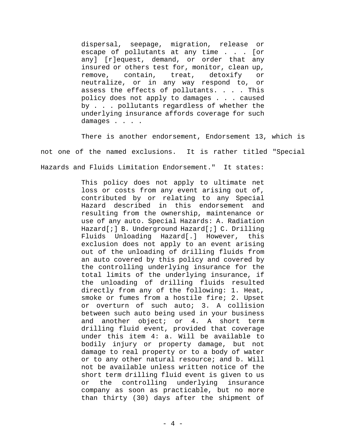dispersal, seepage, migration, release or escape of pollutants at any time . . . [or any] [r]equest, demand, or order that any insured or others test for, monitor, clean up, remove, contain, treat, detoxify or neutralize, or in any way respond to, or assess the effects of pollutants. . . . This policy does not apply to damages . . . caused by . . . pollutants regardless of whether the underlying insurance affords coverage for such damages . . . .

There is another endorsement, Endorsement 13, which is not one of the named exclusions. It is rather titled "Special Hazards and Fluids Limitation Endorsement." It states:

> This policy does not apply to ultimate net loss or costs from any event arising out of, contributed by or relating to any Special Hazard described in this endorsement and resulting from the ownership, maintenance or use of any auto. Special Hazards: A. Radiation Hazard[;] B. Underground Hazard[;] C. Drilling Fluids Unloading Hazard[.] However, this exclusion does not apply to an event arising out of the unloading of drilling fluids from an auto covered by this policy and covered by the controlling underlying insurance for the total limits of the underlying insurance, if the unloading of drilling fluids resulted directly from any of the following: 1. Heat, smoke or fumes from a hostile fire; 2. Upset or overturn of such auto; 3. A collision between such auto being used in your business and another object; or 4. A short term drilling fluid event, provided that coverage under this item 4: a. Will be available to bodily injury or property damage, but not damage to real property or to a body of water or to any other natural resource; and b. Will not be available unless written notice of the short term drilling fluid event is given to us or the controlling underlying insurance company as soon as practicable, but no more than thirty (30) days after the shipment of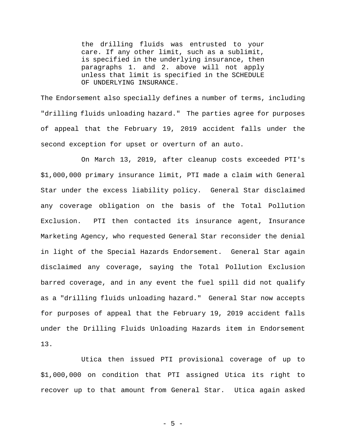the drilling fluids was entrusted to your care. If any other limit, such as a sublimit, is specified in the underlying insurance, then paragraphs 1. and 2. above will not apply unless that limit is specified in the SCHEDULE OF UNDERLYING INSURANCE.

The Endorsement also specially defines a number of terms, including "drilling fluids unloading hazard." The parties agree for purposes of appeal that the February 19, 2019 accident falls under the second exception for upset or overturn of an auto.

On March 13, 2019, after cleanup costs exceeded PTI's \$1,000,000 primary insurance limit, PTI made a claim with General Star under the excess liability policy. General Star disclaimed any coverage obligation on the basis of the Total Pollution Exclusion. PTI then contacted its insurance agent, Insurance Marketing Agency, who requested General Star reconsider the denial in light of the Special Hazards Endorsement. General Star again disclaimed any coverage, saying the Total Pollution Exclusion barred coverage, and in any event the fuel spill did not qualify as a "drilling fluids unloading hazard." General Star now accepts for purposes of appeal that the February 19, 2019 accident falls under the Drilling Fluids Unloading Hazards item in Endorsement 13.

Utica then issued PTI provisional coverage of up to \$1,000,000 on condition that PTI assigned Utica its right to recover up to that amount from General Star. Utica again asked

- 5 -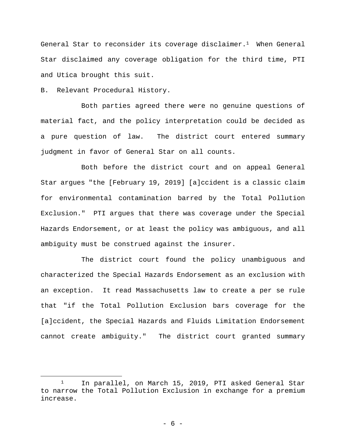General Star to reconsider its coverage disclaimer.<sup>1</sup> When General Star disclaimed any coverage obligation for the third time, PTI and Utica brought this suit.

B. Relevant Procedural History.

Both parties agreed there were no genuine questions of material fact, and the policy interpretation could be decided as a pure question of law. The district court entered summary judgment in favor of General Star on all counts.

Both before the district court and on appeal General Star argues "the [February 19, 2019] [a]ccident is a classic claim for environmental contamination barred by the Total Pollution Exclusion." PTI argues that there was coverage under the Special Hazards Endorsement, or at least the policy was ambiguous, and all ambiguity must be construed against the insurer.

The district court found the policy unambiguous and characterized the Special Hazards Endorsement as an exclusion with an exception. It read Massachusetts law to create a per se rule that "if the Total Pollution Exclusion bars coverage for the [a]ccident, the Special Hazards and Fluids Limitation Endorsement cannot create ambiguity." The district court granted summary

<sup>1</sup> In parallel, on March 15, 2019, PTI asked General Star to narrow the Total Pollution Exclusion in exchange for a premium increase.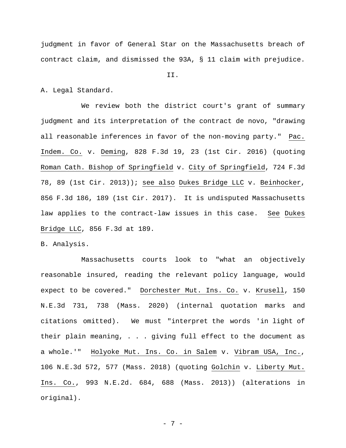judgment in favor of General Star on the Massachusetts breach of contract claim, and dismissed the 93A, § 11 claim with prejudice.

#### II.

A. Legal Standard.

We review both the district court's grant of summary judgment and its interpretation of the contract de novo, "drawing all reasonable inferences in favor of the non-moving party." Pac. Indem. Co. v. Deming, 828 F.3d 19, 23 (1st Cir. 2016) (quoting Roman Cath. Bishop of Springfield v. City of Springfield, 724 F.3d 78, 89 (1st Cir. 2013)); see also Dukes Bridge LLC v. Beinhocker, 856 F.3d 186, 189 (1st Cir. 2017). It is undisputed Massachusetts law applies to the contract-law issues in this case. See Dukes Bridge LLC, 856 F.3d at 189.

B. Analysis.

 Massachusetts courts look to "what an objectively reasonable insured, reading the relevant policy language, would expect to be covered." Dorchester Mut. Ins. Co. v. Krusell, 150 N.E.3d 731, 738 (Mass. 2020) (internal quotation marks and citations omitted). We must "interpret the words 'in light of their plain meaning, . . . giving full effect to the document as a whole.'" Holyoke Mut. Ins. Co. in Salem v. Vibram USA, Inc., 106 N.E.3d 572, 577 (Mass. 2018) (quoting Golchin v. Liberty Mut. Ins. Co., 993 N.E.2d. 684, 688 (Mass. 2013)) (alterations in original).

- 7 -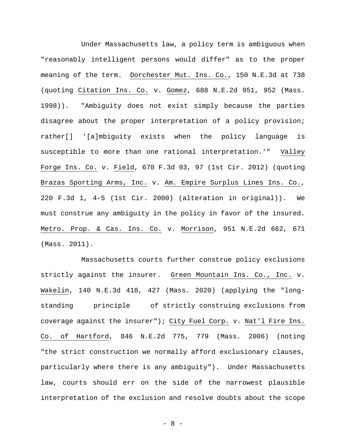Under Massachusetts law, a policy term is ambiguous when "reasonably intelligent persons would differ" as to the proper meaning of the term. Dorchester Mut. Ins. Co., 150 N.E.3d at 738 (quoting Citation Ins. Co. v. Gomez, 688 N.E.2d 951, 952 (Mass. 1998)). "Ambiguity does not exist simply because the parties disagree about the proper interpretation of a policy provision; rather[] '[a]mbiguity exists when the policy language is susceptible to more than one rational interpretation.'" Valley Forge Ins. Co. v. Field, 670 F.3d 93, 97 (1st Cir. 2012) (quoting Brazas Sporting Arms, Inc. v. Am. Empire Surplus Lines Ins. Co., 220 F.3d 1, 4-5 (1st Cir. 2000) (alteration in original)). We must construe any ambiguity in the policy in favor of the insured. Metro. Prop. & Cas. Ins. Co. v. Morrison, 951 N.E.2d 662, 671 (Mass. 2011).

Massachusetts courts further construe policy exclusions strictly against the insurer. Green Mountain Ins. Co., Inc. v. Wakelin, 140 N.E.3d 418, 427 (Mass. 2020) (applying the "longstanding principle of strictly construing exclusions from coverage against the insurer"); City Fuel Corp. v. Nat'l Fire Ins. Co. of Hartford, 846 N.E.2d 775, 779 (Mass. 2006) (noting "the strict construction we normally afford exclusionary clauses, particularly where there is any ambiguity"). Under Massachusetts law, courts should err on the side of the narrowest plausible interpretation of the exclusion and resolve doubts about the scope

- 8 -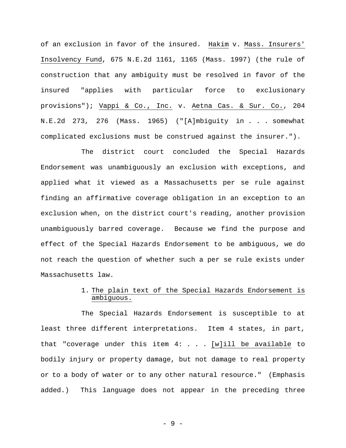of an exclusion in favor of the insured. Hakim v. Mass. Insurers' Insolvency Fund, 675 N.E.2d 1161, 1165 (Mass. 1997) (the rule of construction that any ambiguity must be resolved in favor of the insured "applies with particular force to exclusionary provisions"); Vappi & Co., Inc. v. Aetna Cas. & Sur. Co., 204 N.E.2d 273, 276 (Mass. 1965) ("[A]mbiguity in . . . somewhat complicated exclusions must be construed against the insurer.").

 The district court concluded the Special Hazards Endorsement was unambiguously an exclusion with exceptions, and applied what it viewed as a Massachusetts per se rule against finding an affirmative coverage obligation in an exception to an exclusion when, on the district court's reading, another provision unambiguously barred coverage. Because we find the purpose and effect of the Special Hazards Endorsement to be ambiguous, we do not reach the question of whether such a per se rule exists under Massachusetts law.

## 1. The plain text of the Special Hazards Endorsement is ambiguous.

The Special Hazards Endorsement is susceptible to at least three different interpretations. Item 4 states, in part, that "coverage under this item  $4: . . . . [w]$ ill be available to bodily injury or property damage, but not damage to real property or to a body of water or to any other natural resource." (Emphasis added.) This language does not appear in the preceding three

- 9 -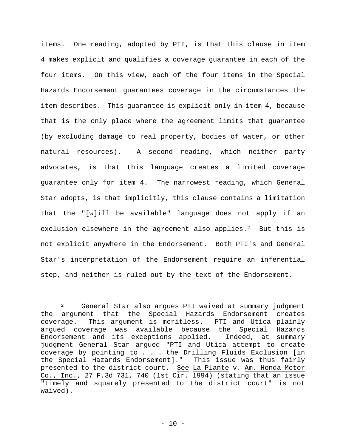items. One reading, adopted by PTI, is that this clause in item 4 makes explicit and qualifies a coverage guarantee in each of the four items. On this view, each of the four items in the Special Hazards Endorsement guarantees coverage in the circumstances the item describes. This guarantee is explicit only in item 4, because that is the only place where the agreement limits that guarantee (by excluding damage to real property, bodies of water, or other natural resources). A second reading, which neither party advocates, is that this language creates a limited coverage guarantee only for item 4. The narrowest reading, which General Star adopts, is that implicitly, this clause contains a limitation that the "[w]ill be available" language does not apply if an exclusion elsewhere in the agreement also applies. $2$  But this is not explicit anywhere in the Endorsement. Both PTI's and General Star's interpretation of the Endorsement require an inferential step, and neither is ruled out by the text of the Endorsement.

<sup>2</sup> General Star also argues PTI waived at summary judgment the argument that the Special Hazards Endorsement creates coverage. This argument is meritless. PTI and Utica plainly argued coverage was available because the Special Hazards Endorsement and its exceptions applied. Indeed, at summary judgment General Star argued "PTI and Utica attempt to create coverage by pointing to . . . the Drilling Fluids Exclusion [in the Special Hazards Endorsement]." This issue was thus fairly presented to the district court. See La Plante v. Am. Honda Motor Co., Inc., 27 F.3d 731, 740 (1st Cir. 1994) (stating that an issue "timely and squarely presented to the district court" is not waived).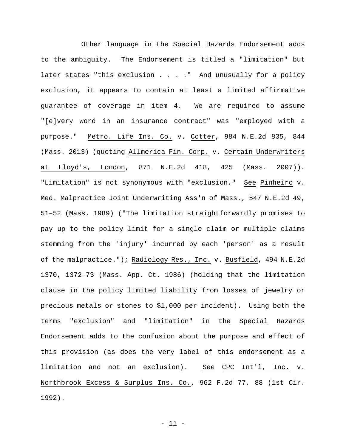Other language in the Special Hazards Endorsement adds to the ambiguity. The Endorsement is titled a "limitation" but later states "this exclusion . . . ." And unusually for a policy exclusion, it appears to contain at least a limited affirmative guarantee of coverage in item 4. We are required to assume "[e]very word in an insurance contract" was "employed with a purpose." Metro. Life Ins. Co. v. Cotter, 984 N.E.2d 835, 844 (Mass. 2013) (quoting Allmerica Fin. Corp. v. Certain Underwriters at Lloyd's, London, 871 N.E.2d 418, 425 (Mass. 2007)). "Limitation" is not synonymous with "exclusion." See Pinheiro v. Med. Malpractice Joint Underwriting Ass'n of Mass., 547 N.E.2d 49, 51–52 (Mass. 1989) ("The limitation straightforwardly promises to pay up to the policy limit for a single claim or multiple claims stemming from the 'injury' incurred by each 'person' as a result of the malpractice."); Radiology Res., Inc. v. Busfield, 494 N.E.2d 1370, 1372-73 (Mass. App. Ct. 1986) (holding that the limitation clause in the policy limited liability from losses of jewelry or precious metals or stones to \$1,000 per incident). Using both the terms "exclusion" and "limitation" in the Special Hazards Endorsement adds to the confusion about the purpose and effect of this provision (as does the very label of this endorsement as a limitation and not an exclusion). See CPC Int'l, Inc. v. Northbrook Excess & Surplus Ins. Co., 962 F.2d 77, 88 (1st Cir. 1992).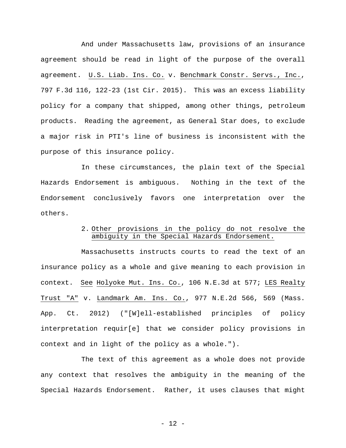And under Massachusetts law, provisions of an insurance agreement should be read in light of the purpose of the overall agreement. U.S. Liab. Ins. Co. v. Benchmark Constr. Servs., Inc., 797 F.3d 116, 122-23 (1st Cir. 2015). This was an excess liability policy for a company that shipped, among other things, petroleum products. Reading the agreement, as General Star does, to exclude a major risk in PTI's line of business is inconsistent with the purpose of this insurance policy.

In these circumstances, the plain text of the Special Hazards Endorsement is ambiguous. Nothing in the text of the Endorsement conclusively favors one interpretation over the others.

### 2. Other provisions in the policy do not resolve the ambiguity in the Special Hazards Endorsement.

Massachusetts instructs courts to read the text of an insurance policy as a whole and give meaning to each provision in context. See Holyoke Mut. Ins. Co., 106 N.E.3d at 577; LES Realty Trust "A" v. Landmark Am. Ins. Co., 977 N.E.2d 566, 569 (Mass. App. Ct. 2012) ("[W]ell-established principles of policy interpretation requir[e] that we consider policy provisions in context and in light of the policy as a whole.").

The text of this agreement as a whole does not provide any context that resolves the ambiguity in the meaning of the Special Hazards Endorsement. Rather, it uses clauses that might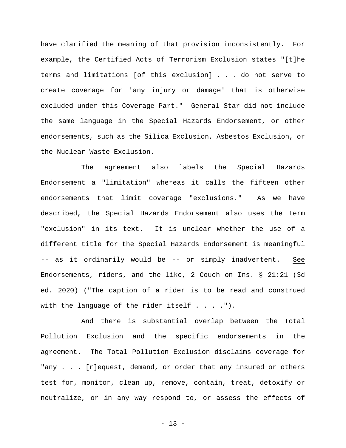have clarified the meaning of that provision inconsistently. For example, the Certified Acts of Terrorism Exclusion states "[t]he terms and limitations [of this exclusion] . . . do not serve to create coverage for 'any injury or damage' that is otherwise excluded under this Coverage Part." General Star did not include the same language in the Special Hazards Endorsement, or other endorsements, such as the Silica Exclusion, Asbestos Exclusion, or the Nuclear Waste Exclusion.

The agreement also labels the Special Hazards Endorsement a "limitation" whereas it calls the fifteen other endorsements that limit coverage "exclusions." As we have described, the Special Hazards Endorsement also uses the term "exclusion" in its text. It is unclear whether the use of a different title for the Special Hazards Endorsement is meaningful -- as it ordinarily would be -- or simply inadvertent. See Endorsements, riders, and the like, 2 Couch on Ins. § 21:21 (3d ed. 2020) ("The caption of a rider is to be read and construed with the language of the rider itself  $\dots$ .").

And there is substantial overlap between the Total Pollution Exclusion and the specific endorsements in the agreement. The Total Pollution Exclusion disclaims coverage for "any . . . [r]equest, demand, or order that any insured or others test for, monitor, clean up, remove, contain, treat, detoxify or neutralize, or in any way respond to, or assess the effects of

- 13 -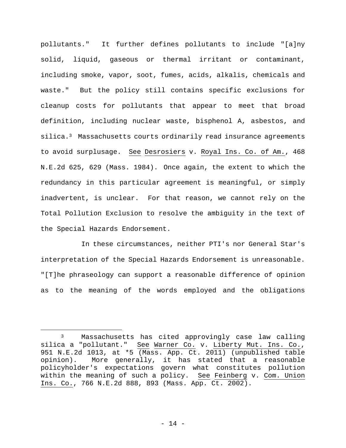pollutants." It further defines pollutants to include "[a]ny solid, liquid, gaseous or thermal irritant or contaminant, including smoke, vapor, soot, fumes, acids, alkalis, chemicals and waste." But the policy still contains specific exclusions for cleanup costs for pollutants that appear to meet that broad definition, including nuclear waste, bisphenol A, asbestos, and silica.<sup>3</sup> Massachusetts courts ordinarily read insurance agreements to avoid surplusage. See Desrosiers v. Royal Ins. Co. of Am., 468 N.E.2d 625, 629 (Mass. 1984). Once again, the extent to which the redundancy in this particular agreement is meaningful, or simply inadvertent, is unclear. For that reason, we cannot rely on the Total Pollution Exclusion to resolve the ambiguity in the text of the Special Hazards Endorsement.

In these circumstances, neither PTI's nor General Star's interpretation of the Special Hazards Endorsement is unreasonable. "[T]he phraseology can support a reasonable difference of opinion as to the meaning of the words employed and the obligations

<sup>3</sup> Massachusetts has cited approvingly case law calling silica a "pollutant." See Warner Co. v. Liberty Mut. Ins. Co., 951 N.E.2d 1013, at \*5 (Mass. App. Ct. 2011) (unpublished table opinion). More generally, it has stated that a reasonable policyholder's expectations govern what constitutes pollution within the meaning of such a policy. See Feinberg v. Com. Union Ins. Co., 766 N.E.2d 888, 893 (Mass. App. Ct. 2002).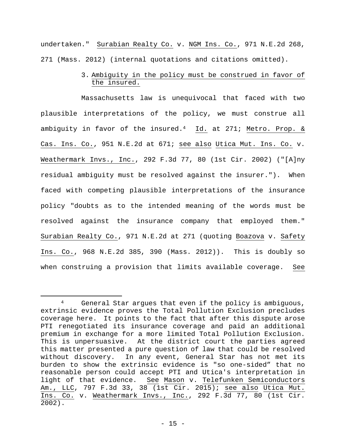undertaken." Surabian Realty Co. v. NGM Ins. Co., 971 N.E.2d 268, 271 (Mass. 2012) (internal quotations and citations omitted).

> 3. Ambiguity in the policy must be construed in favor of the insured.

Massachusetts law is unequivocal that faced with two plausible interpretations of the policy, we must construe all ambiguity in favor of the insured.4 Id. at 271; Metro. Prop. & Cas. Ins. Co., 951 N.E.2d at 671; see also Utica Mut. Ins. Co. v. Weathermark Invs., Inc., 292 F.3d 77, 80 (1st Cir. 2002) ("[A]ny residual ambiguity must be resolved against the insurer."). When faced with competing plausible interpretations of the insurance policy "doubts as to the intended meaning of the words must be resolved against the insurance company that employed them." Surabian Realty Co., 971 N.E.2d at 271 (quoting Boazova v. Safety Ins. Co., 968 N.E.2d 385, 390 (Mass. 2012)). This is doubly so when construing a provision that limits available coverage. See

<sup>4</sup> General Star argues that even if the policy is ambiguous, extrinsic evidence proves the Total Pollution Exclusion precludes coverage here. It points to the fact that after this dispute arose PTI renegotiated its insurance coverage and paid an additional premium in exchange for a more limited Total Pollution Exclusion. This is unpersuasive. At the district court the parties agreed this matter presented a pure question of law that could be resolved without discovery. In any event, General Star has not met its burden to show the extrinsic evidence is "so one-sided" that no reasonable person could accept PTI and Utica's interpretation in light of that evidence. See Mason v. Telefunken Semiconductors Am., LLC, 797 F.3d 33, 38 (1st Cir. 2015); see also Utica Mut. Ins. Co. v. Weathermark Invs., Inc., 292 F.3d 77, 80 (1st Cir. 2002).